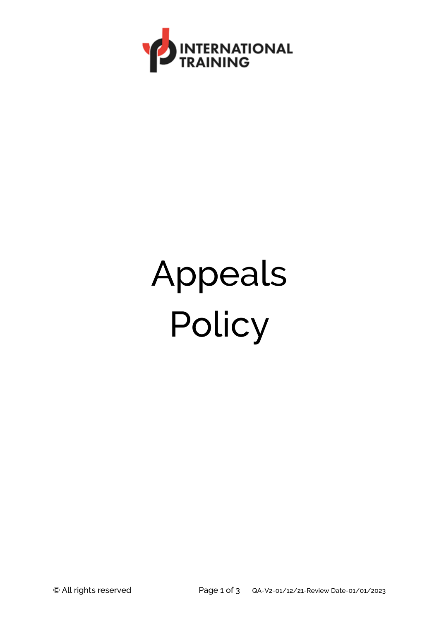

## Appeals Policy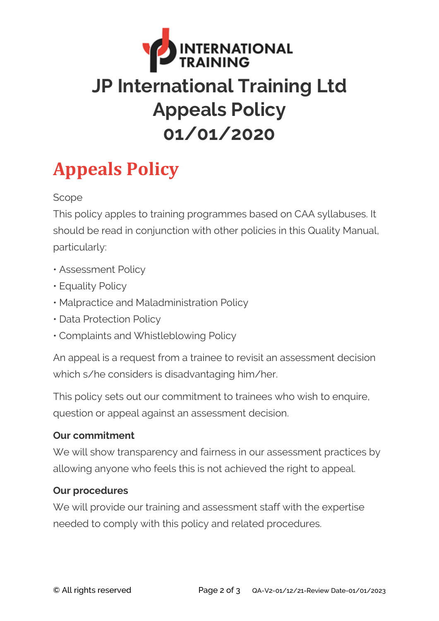

## **Appeals Policy**

Scope

This policy apples to training programmes based on CAA syllabuses. It should be read in conjunction with other policies in this Quality Manual, particularly:

- Assessment Policy
- Equality Policy
- Malpractice and Maladministration Policy
- Data Protection Policy
- Complaints and Whistleblowing Policy

An appeal is a request from a trainee to revisit an assessment decision which s/he considers is disadvantaging him/her.

This policy sets out our commitment to trainees who wish to enquire, question or appeal against an assessment decision.

## **Our commitment**

We will show transparency and fairness in our assessment practices by allowing anyone who feels this is not achieved the right to appeal.

## **Our procedures**

We will provide our training and assessment staff with the expertise needed to comply with this policy and related procedures.